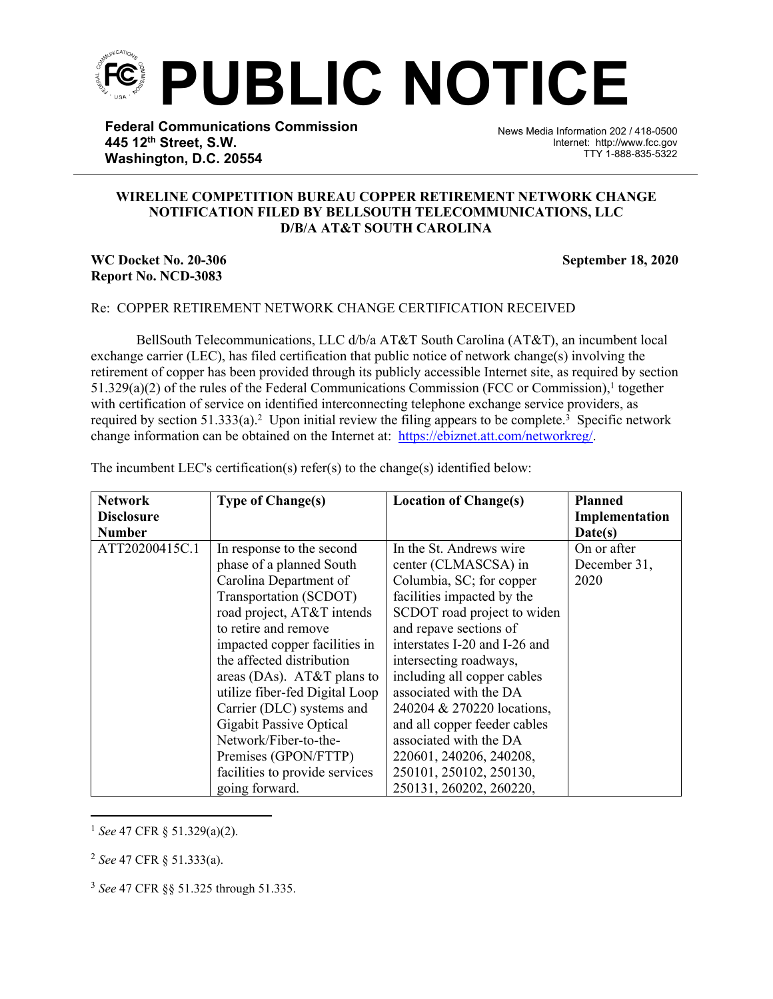

**Federal Communications Commission 445 12th Street, S.W. Washington, D.C. 20554**

News Media Information 202 / 418-0500 Internet: http://www.fcc.gov TTY 1-888-835-5322

## **WIRELINE COMPETITION BUREAU COPPER RETIREMENT NETWORK CHANGE NOTIFICATION FILED BY BELLSOUTH TELECOMMUNICATIONS, LLC D/B/A AT&T SOUTH CAROLINA**

֡֡֡֡

## **WC Docket No. 20-306** September 18, 2020 **Report No. NCD-3083**

## Re: COPPER RETIREMENT NETWORK CHANGE CERTIFICATION RECEIVED

BellSouth Telecommunications, LLC d/b/a AT&T South Carolina (AT&T), an incumbent local exchange carrier (LEC), has filed certification that public notice of network change(s) involving the retirement of copper has been provided through its publicly accessible Internet site, as required by section  $51.329(a)(2)$  of the rules of the Federal Communications Commission (FCC or Commission),<sup>1</sup> together with certification of service on identified interconnecting telephone exchange service providers, as required by section 51.333(a).<sup>2</sup> Upon initial review the filing appears to be complete.<sup>3</sup> Specific network change information can be obtained on the Internet at: https://ebiznet.att.com/networkreg/.

|  |  |  | The incumbent LEC's certification(s) refer(s) to the change(s) identified below: |
|--|--|--|----------------------------------------------------------------------------------|
|  |  |  |                                                                                  |

| <b>Network</b>    | <b>Type of Change(s)</b>       | <b>Location of Change(s)</b>  | <b>Planned</b> |
|-------------------|--------------------------------|-------------------------------|----------------|
| <b>Disclosure</b> |                                |                               | Implementation |
| <b>Number</b>     |                                |                               | Date(s)        |
| ATT20200415C.1    | In response to the second      | In the St. Andrews wire       | On or after    |
|                   | phase of a planned South       | center (CLMASCSA) in          | December 31,   |
|                   | Carolina Department of         | Columbia, SC; for copper      | 2020           |
|                   | Transportation (SCDOT)         | facilities impacted by the    |                |
|                   | road project, AT&T intends     | SCDOT road project to widen   |                |
|                   | to retire and remove           | and repave sections of        |                |
|                   | impacted copper facilities in  | interstates I-20 and I-26 and |                |
|                   | the affected distribution      | intersecting roadways,        |                |
|                   | areas (DAs). AT&T plans to     | including all copper cables   |                |
|                   | utilize fiber-fed Digital Loop | associated with the DA        |                |
|                   | Carrier (DLC) systems and      | 240204 & 270220 locations,    |                |
|                   | <b>Gigabit Passive Optical</b> | and all copper feeder cables  |                |
|                   | Network/Fiber-to-the-          | associated with the DA        |                |
|                   | Premises (GPON/FTTP)           | 220601, 240206, 240208,       |                |
|                   | facilities to provide services | 250101, 250102, 250130,       |                |
|                   | going forward.                 | 250131, 260202, 260220,       |                |

<sup>1</sup> *See* 47 CFR § 51.329(a)(2).

<sup>2</sup> *See* 47 CFR § 51.333(a).

<sup>3</sup> *See* 47 CFR §§ 51.325 through 51.335.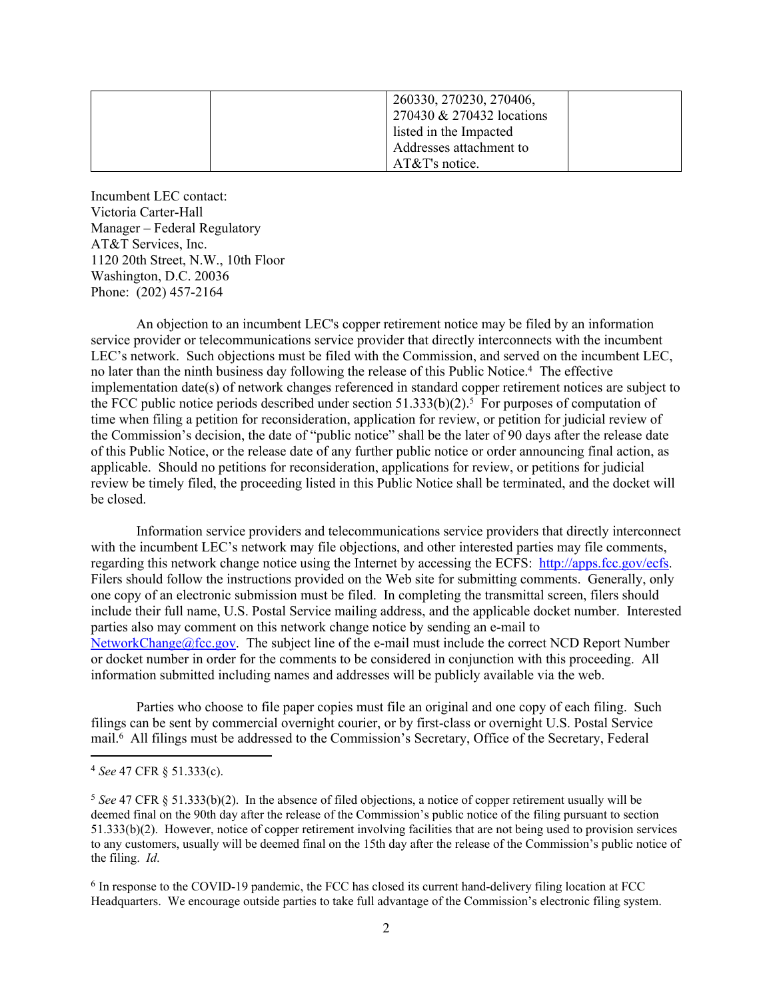| 260330, 270230, 270406,   |
|---------------------------|
| 270430 & 270432 locations |
| listed in the Impacted    |
| Addresses attachment to   |
| $AT&T's$ notice.          |

Incumbent LEC contact: Victoria Carter-Hall Manager – Federal Regulatory AT&T Services, Inc. 1120 20th Street, N.W., 10th Floor Washington, D.C. 20036 Phone: (202) 457-2164

An objection to an incumbent LEC's copper retirement notice may be filed by an information service provider or telecommunications service provider that directly interconnects with the incumbent LEC's network. Such objections must be filed with the Commission, and served on the incumbent LEC, no later than the ninth business day following the release of this Public Notice.<sup>4</sup> The effective implementation date(s) of network changes referenced in standard copper retirement notices are subject to the FCC public notice periods described under section  $51.333(b)(2)$ .<sup>5</sup> For purposes of computation of time when filing a petition for reconsideration, application for review, or petition for judicial review of the Commission's decision, the date of "public notice" shall be the later of 90 days after the release date of this Public Notice, or the release date of any further public notice or order announcing final action, as applicable. Should no petitions for reconsideration, applications for review, or petitions for judicial review be timely filed, the proceeding listed in this Public Notice shall be terminated, and the docket will be closed.

Information service providers and telecommunications service providers that directly interconnect with the incumbent LEC's network may file objections, and other interested parties may file comments, regarding this network change notice using the Internet by accessing the ECFS: [http://apps.fcc.gov/ecfs.](http://apps.fcc.gov/ecfs) Filers should follow the instructions provided on the Web site for submitting comments. Generally, only one copy of an electronic submission must be filed. In completing the transmittal screen, filers should include their full name, U.S. Postal Service mailing address, and the applicable docket number. Interested parties also may comment on this network change notice by sending an e-mail to [NetworkChange@fcc.gov.](mailto:NetworkChange@fcc.gov) The subject line of the e-mail must include the correct NCD Report Number or docket number in order for the comments to be considered in conjunction with this proceeding. All information submitted including names and addresses will be publicly available via the web.

Parties who choose to file paper copies must file an original and one copy of each filing. Such filings can be sent by commercial overnight courier, or by first-class or overnight U.S. Postal Service mail.<sup>6</sup> All filings must be addressed to the Commission's Secretary, Office of the Secretary, Federal

<sup>4</sup> *See* 47 CFR § 51.333(c).

<sup>5</sup> *See* 47 CFR § 51.333(b)(2). In the absence of filed objections, a notice of copper retirement usually will be deemed final on the 90th day after the release of the Commission's public notice of the filing pursuant to section 51.333(b)(2). However, notice of copper retirement involving facilities that are not being used to provision services to any customers, usually will be deemed final on the 15th day after the release of the Commission's public notice of the filing. *Id*.

<sup>&</sup>lt;sup>6</sup> In response to the COVID-19 pandemic, the FCC has closed its current hand-delivery filing location at FCC Headquarters. We encourage outside parties to take full advantage of the Commission's electronic filing system.